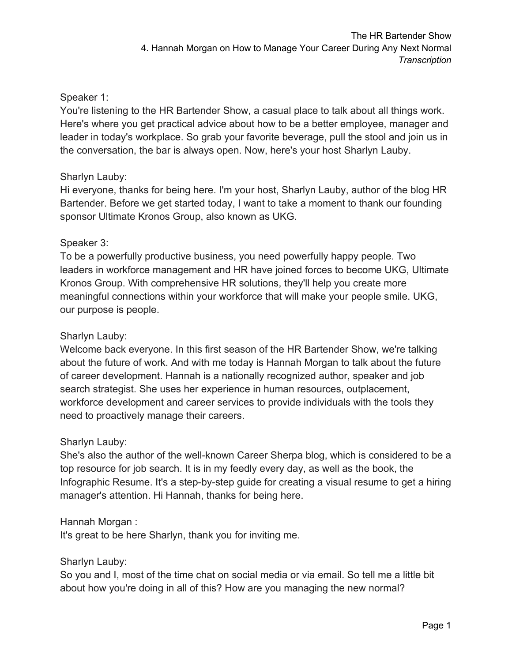### Speaker 1:

You're listening to the HR Bartender Show, a casual place to talk about all things work. Here's where you get practical advice about how to be a better employee, manager and leader in today's workplace. So grab your favorite beverage, pull the stool and join us in the conversation, the bar is always open. Now, here's your host Sharlyn Lauby.

### Sharlyn Lauby:

Hi everyone, thanks for being here. I'm your host, Sharlyn Lauby, author of the blog HR Bartender. Before we get started today, I want to take a moment to thank our founding sponsor Ultimate Kronos Group, also known as UKG.

### Speaker 3:

To be a powerfully productive business, you need powerfully happy people. Two leaders in workforce management and HR have joined forces to become UKG, Ultimate Kronos Group. With comprehensive HR solutions, they'll help you create more meaningful connections within your workforce that will make your people smile. UKG, our purpose is people.

### Sharlyn Lauby:

Welcome back everyone. In this first season of the HR Bartender Show, we're talking about the future of work. And with me today is Hannah Morgan to talk about the future of career development. Hannah is a nationally recognized author, speaker and job search strategist. She uses her experience in human resources, outplacement, workforce development and career services to provide individuals with the tools they need to proactively manage their careers.

### Sharlyn Lauby:

She's also the author of the well-known Career Sherpa blog, which is considered to be a top resource for job search. It is in my feedly every day, as well as the book, the Infographic Resume. It's a step-by-step guide for creating a visual resume to get a hiring manager's attention. Hi Hannah, thanks for being here.

### Hannah Morgan :

It's great to be here Sharlyn, thank you for inviting me.

Sharlyn Lauby:

So you and I, most of the time chat on social media or via email. So tell me a little bit about how you're doing in all of this? How are you managing the new normal?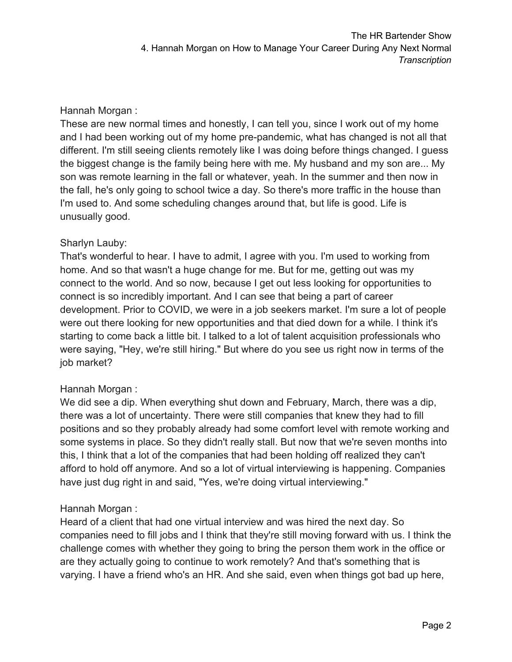### Hannah Morgan :

These are new normal times and honestly, I can tell you, since I work out of my home and I had been working out of my home pre-pandemic, what has changed is not all that different. I'm still seeing clients remotely like I was doing before things changed. I guess the biggest change is the family being here with me. My husband and my son are... My son was remote learning in the fall or whatever, yeah. In the summer and then now in the fall, he's only going to school twice a day. So there's more traffic in the house than I'm used to. And some scheduling changes around that, but life is good. Life is unusually good.

### Sharlyn Lauby:

That's wonderful to hear. I have to admit, I agree with you. I'm used to working from home. And so that wasn't a huge change for me. But for me, getting out was my connect to the world. And so now, because I get out less looking for opportunities to connect is so incredibly important. And I can see that being a part of career development. Prior to COVID, we were in a job seekers market. I'm sure a lot of people were out there looking for new opportunities and that died down for a while. I think it's starting to come back a little bit. I talked to a lot of talent acquisition professionals who were saying, "Hey, we're still hiring." But where do you see us right now in terms of the job market?

### Hannah Morgan :

We did see a dip. When everything shut down and February, March, there was a dip, there was a lot of uncertainty. There were still companies that knew they had to fill positions and so they probably already had some comfort level with remote working and some systems in place. So they didn't really stall. But now that we're seven months into this, I think that a lot of the companies that had been holding off realized they can't afford to hold off anymore. And so a lot of virtual interviewing is happening. Companies have just dug right in and said, "Yes, we're doing virtual interviewing."

### Hannah Morgan :

Heard of a client that had one virtual interview and was hired the next day. So companies need to fill jobs and I think that they're still moving forward with us. I think the challenge comes with whether they going to bring the person them work in the office or are they actually going to continue to work remotely? And that's something that is varying. I have a friend who's an HR. And she said, even when things got bad up here,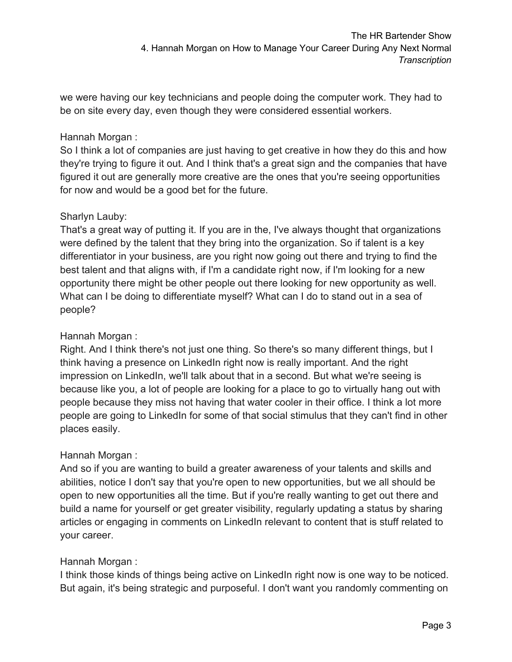we were having our key technicians and people doing the computer work. They had to be on site every day, even though they were considered essential workers.

## Hannah Morgan :

So I think a lot of companies are just having to get creative in how they do this and how they're trying to figure it out. And I think that's a great sign and the companies that have figured it out are generally more creative are the ones that you're seeing opportunities for now and would be a good bet for the future.

## Sharlyn Lauby:

That's a great way of putting it. If you are in the, I've always thought that organizations were defined by the talent that they bring into the organization. So if talent is a key differentiator in your business, are you right now going out there and trying to find the best talent and that aligns with, if I'm a candidate right now, if I'm looking for a new opportunity there might be other people out there looking for new opportunity as well. What can I be doing to differentiate myself? What can I do to stand out in a sea of people?

### Hannah Morgan :

Right. And I think there's not just one thing. So there's so many different things, but I think having a presence on LinkedIn right now is really important. And the right impression on LinkedIn, we'll talk about that in a second. But what we're seeing is because like you, a lot of people are looking for a place to go to virtually hang out with people because they miss not having that water cooler in their office. I think a lot more people are going to LinkedIn for some of that social stimulus that they can't find in other places easily.

## Hannah Morgan :

And so if you are wanting to build a greater awareness of your talents and skills and abilities, notice I don't say that you're open to new opportunities, but we all should be open to new opportunities all the time. But if you're really wanting to get out there and build a name for yourself or get greater visibility, regularly updating a status by sharing articles or engaging in comments on LinkedIn relevant to content that is stuff related to your career.

## Hannah Morgan :

I think those kinds of things being active on LinkedIn right now is one way to be noticed. But again, it's being strategic and purposeful. I don't want you randomly commenting on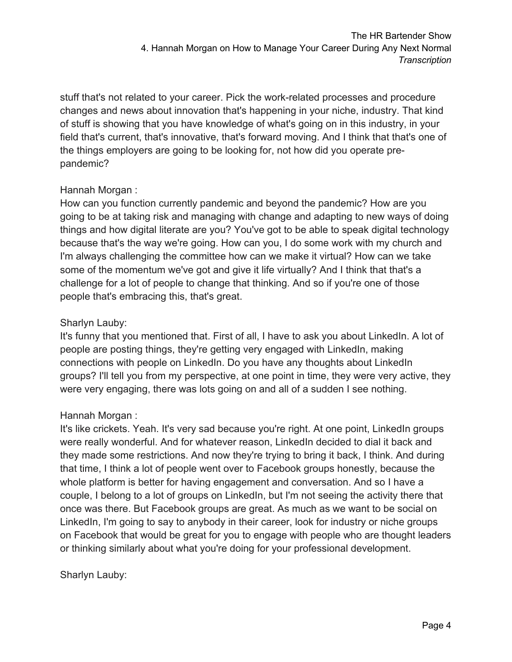stuff that's not related to your career. Pick the work-related processes and procedure changes and news about innovation that's happening in your niche, industry. That kind of stuff is showing that you have knowledge of what's going on in this industry, in your field that's current, that's innovative, that's forward moving. And I think that that's one of the things employers are going to be looking for, not how did you operate prepandemic?

# Hannah Morgan :

How can you function currently pandemic and beyond the pandemic? How are you going to be at taking risk and managing with change and adapting to new ways of doing things and how digital literate are you? You've got to be able to speak digital technology because that's the way we're going. How can you, I do some work with my church and I'm always challenging the committee how can we make it virtual? How can we take some of the momentum we've got and give it life virtually? And I think that that's a challenge for a lot of people to change that thinking. And so if you're one of those people that's embracing this, that's great.

## Sharlyn Lauby:

It's funny that you mentioned that. First of all, I have to ask you about LinkedIn. A lot of people are posting things, they're getting very engaged with LinkedIn, making connections with people on LinkedIn. Do you have any thoughts about LinkedIn groups? I'll tell you from my perspective, at one point in time, they were very active, they were very engaging, there was lots going on and all of a sudden I see nothing.

## Hannah Morgan :

It's like crickets. Yeah. It's very sad because you're right. At one point, LinkedIn groups were really wonderful. And for whatever reason, LinkedIn decided to dial it back and they made some restrictions. And now they're trying to bring it back, I think. And during that time, I think a lot of people went over to Facebook groups honestly, because the whole platform is better for having engagement and conversation. And so I have a couple, I belong to a lot of groups on LinkedIn, but I'm not seeing the activity there that once was there. But Facebook groups are great. As much as we want to be social on LinkedIn, I'm going to say to anybody in their career, look for industry or niche groups on Facebook that would be great for you to engage with people who are thought leaders or thinking similarly about what you're doing for your professional development.

## Sharlyn Lauby: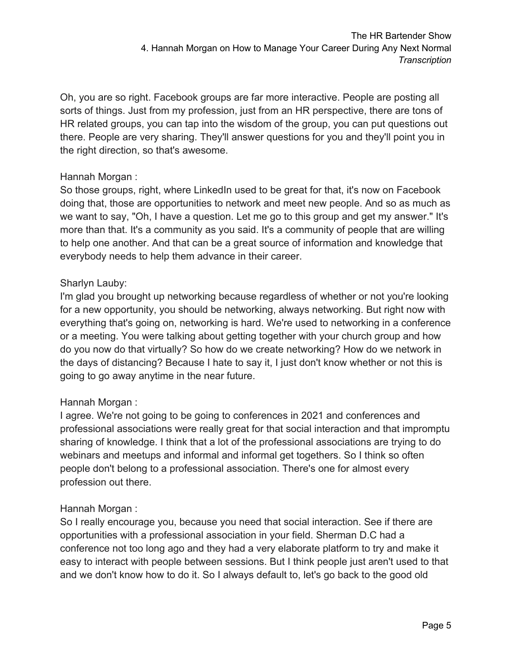Oh, you are so right. Facebook groups are far more interactive. People are posting all sorts of things. Just from my profession, just from an HR perspective, there are tons of HR related groups, you can tap into the wisdom of the group, you can put questions out there. People are very sharing. They'll answer questions for you and they'll point you in the right direction, so that's awesome.

# Hannah Morgan :

So those groups, right, where LinkedIn used to be great for that, it's now on Facebook doing that, those are opportunities to network and meet new people. And so as much as we want to say, "Oh, I have a question. Let me go to this group and get my answer." It's more than that. It's a community as you said. It's a community of people that are willing to help one another. And that can be a great source of information and knowledge that everybody needs to help them advance in their career.

# Sharlyn Lauby:

I'm glad you brought up networking because regardless of whether or not you're looking for a new opportunity, you should be networking, always networking. But right now with everything that's going on, networking is hard. We're used to networking in a conference or a meeting. You were talking about getting together with your church group and how do you now do that virtually? So how do we create networking? How do we network in the days of distancing? Because I hate to say it, I just don't know whether or not this is going to go away anytime in the near future.

# Hannah Morgan :

I agree. We're not going to be going to conferences in 2021 and conferences and professional associations were really great for that social interaction and that impromptu sharing of knowledge. I think that a lot of the professional associations are trying to do webinars and meetups and informal and informal get togethers. So I think so often people don't belong to a professional association. There's one for almost every profession out there.

# Hannah Morgan :

So I really encourage you, because you need that social interaction. See if there are opportunities with a professional association in your field. Sherman D.C had a conference not too long ago and they had a very elaborate platform to try and make it easy to interact with people between sessions. But I think people just aren't used to that and we don't know how to do it. So I always default to, let's go back to the good old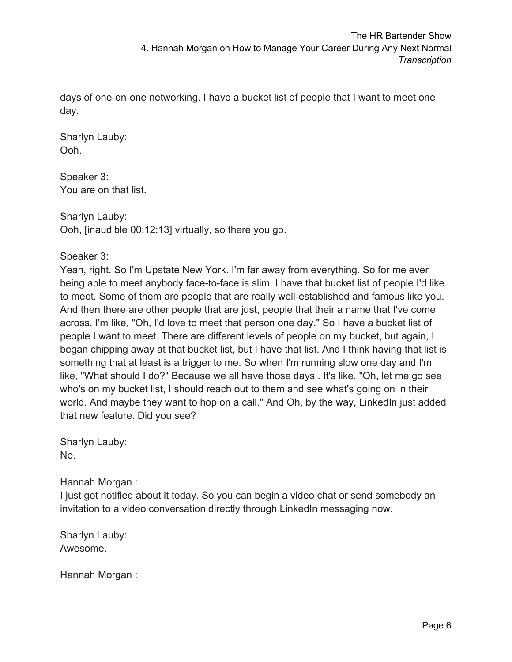days of one-on-one networking. I have a bucket list of people that I want to meet one day.

Sharlyn Lauby: Ooh.

Speaker 3: You are on that list.

Sharlyn Lauby: Ooh, [inaudible 00:12:13] virtually, so there you go.

# Speaker 3:

Yeah, right. So I'm Upstate New York. I'm far away from everything. So for me ever being able to meet anybody face-to-face is slim. I have that bucket list of people I'd like to meet. Some of them are people that are really well-established and famous like you. And then there are other people that are just, people that their a name that I've come across. I'm like, "Oh, I'd love to meet that person one day." So I have a bucket list of people I want to meet. There are different levels of people on my bucket, but again, I began chipping away at that bucket list, but I have that list. And I think having that list is something that at least is a trigger to me. So when I'm running slow one day and I'm like, "What should I do?" Because we all have those days . It's like, "Oh, let me go see who's on my bucket list, I should reach out to them and see what's going on in their world. And maybe they want to hop on a call." And Oh, by the way, LinkedIn just added that new feature. Did you see?

Sharlyn Lauby: No.

Hannah Morgan :

I just got notified about it today. So you can begin a video chat or send somebody an invitation to a video conversation directly through LinkedIn messaging now.

Sharlyn Lauby: Awesome.

Hannah Morgan :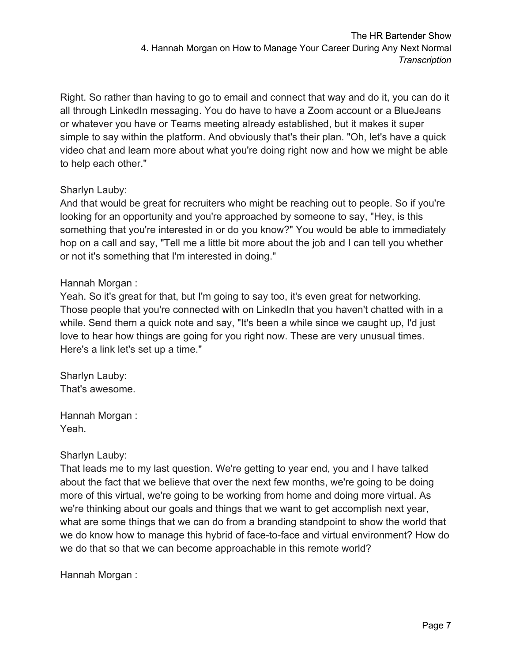Right. So rather than having to go to email and connect that way and do it, you can do it all through LinkedIn messaging. You do have to have a Zoom account or a BlueJeans or whatever you have or Teams meeting already established, but it makes it super simple to say within the platform. And obviously that's their plan. "Oh, let's have a quick video chat and learn more about what you're doing right now and how we might be able to help each other."

## Sharlyn Lauby:

And that would be great for recruiters who might be reaching out to people. So if you're looking for an opportunity and you're approached by someone to say, "Hey, is this something that you're interested in or do you know?" You would be able to immediately hop on a call and say, "Tell me a little bit more about the job and I can tell you whether or not it's something that I'm interested in doing."

# Hannah Morgan :

Yeah. So it's great for that, but I'm going to say too, it's even great for networking. Those people that you're connected with on LinkedIn that you haven't chatted with in a while. Send them a quick note and say, "It's been a while since we caught up, I'd just love to hear how things are going for you right now. These are very unusual times. Here's a link let's set up a time."

Sharlyn Lauby: That's awesome.

Hannah Morgan : Yeah.

## Sharlyn Lauby:

That leads me to my last question. We're getting to year end, you and I have talked about the fact that we believe that over the next few months, we're going to be doing more of this virtual, we're going to be working from home and doing more virtual. As we're thinking about our goals and things that we want to get accomplish next year, what are some things that we can do from a branding standpoint to show the world that we do know how to manage this hybrid of face-to-face and virtual environment? How do we do that so that we can become approachable in this remote world?

Hannah Morgan :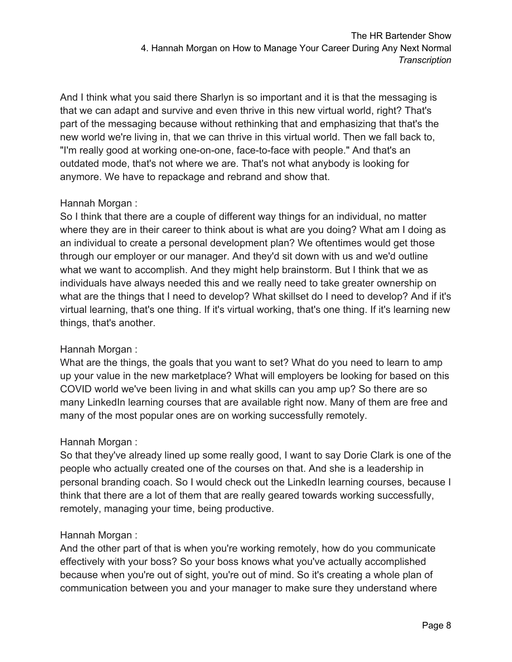And I think what you said there Sharlyn is so important and it is that the messaging is that we can adapt and survive and even thrive in this new virtual world, right? That's part of the messaging because without rethinking that and emphasizing that that's the new world we're living in, that we can thrive in this virtual world. Then we fall back to, "I'm really good at working one-on-one, face-to-face with people." And that's an outdated mode, that's not where we are. That's not what anybody is looking for anymore. We have to repackage and rebrand and show that.

## Hannah Morgan :

So I think that there are a couple of different way things for an individual, no matter where they are in their career to think about is what are you doing? What am I doing as an individual to create a personal development plan? We oftentimes would get those through our employer or our manager. And they'd sit down with us and we'd outline what we want to accomplish. And they might help brainstorm. But I think that we as individuals have always needed this and we really need to take greater ownership on what are the things that I need to develop? What skillset do I need to develop? And if it's virtual learning, that's one thing. If it's virtual working, that's one thing. If it's learning new things, that's another.

## Hannah Morgan :

What are the things, the goals that you want to set? What do you need to learn to amp up your value in the new marketplace? What will employers be looking for based on this COVID world we've been living in and what skills can you amp up? So there are so many LinkedIn learning courses that are available right now. Many of them are free and many of the most popular ones are on working successfully remotely.

## Hannah Morgan :

So that they've already lined up some really good, I want to say Dorie Clark is one of the people who actually created one of the courses on that. And she is a leadership in personal branding coach. So I would check out the LinkedIn learning courses, because I think that there are a lot of them that are really geared towards working successfully, remotely, managing your time, being productive.

# Hannah Morgan :

And the other part of that is when you're working remotely, how do you communicate effectively with your boss? So your boss knows what you've actually accomplished because when you're out of sight, you're out of mind. So it's creating a whole plan of communication between you and your manager to make sure they understand where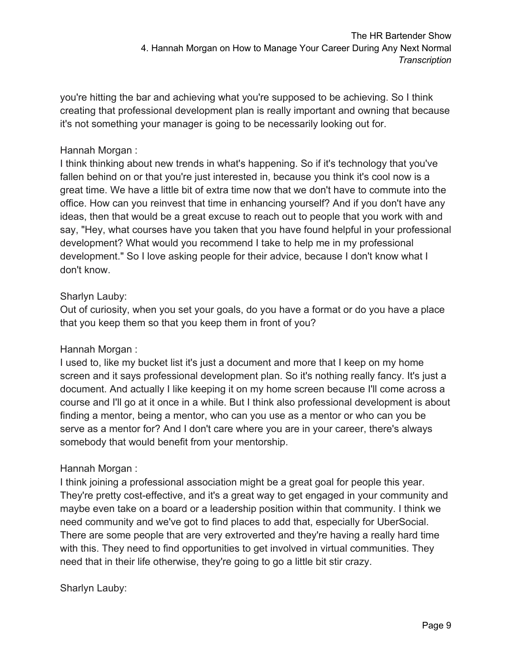you're hitting the bar and achieving what you're supposed to be achieving. So I think creating that professional development plan is really important and owning that because it's not something your manager is going to be necessarily looking out for.

## Hannah Morgan :

I think thinking about new trends in what's happening. So if it's technology that you've fallen behind on or that you're just interested in, because you think it's cool now is a great time. We have a little bit of extra time now that we don't have to commute into the office. How can you reinvest that time in enhancing yourself? And if you don't have any ideas, then that would be a great excuse to reach out to people that you work with and say, "Hey, what courses have you taken that you have found helpful in your professional development? What would you recommend I take to help me in my professional development." So I love asking people for their advice, because I don't know what I don't know.

### Sharlyn Lauby:

Out of curiosity, when you set your goals, do you have a format or do you have a place that you keep them so that you keep them in front of you?

### Hannah Morgan :

I used to, like my bucket list it's just a document and more that I keep on my home screen and it says professional development plan. So it's nothing really fancy. It's just a document. And actually I like keeping it on my home screen because I'll come across a course and I'll go at it once in a while. But I think also professional development is about finding a mentor, being a mentor, who can you use as a mentor or who can you be serve as a mentor for? And I don't care where you are in your career, there's always somebody that would benefit from your mentorship.

### Hannah Morgan :

I think joining a professional association might be a great goal for people this year. They're pretty cost-effective, and it's a great way to get engaged in your community and maybe even take on a board or a leadership position within that community. I think we need community and we've got to find places to add that, especially for UberSocial. There are some people that are very extroverted and they're having a really hard time with this. They need to find opportunities to get involved in virtual communities. They need that in their life otherwise, they're going to go a little bit stir crazy.

Sharlyn Lauby: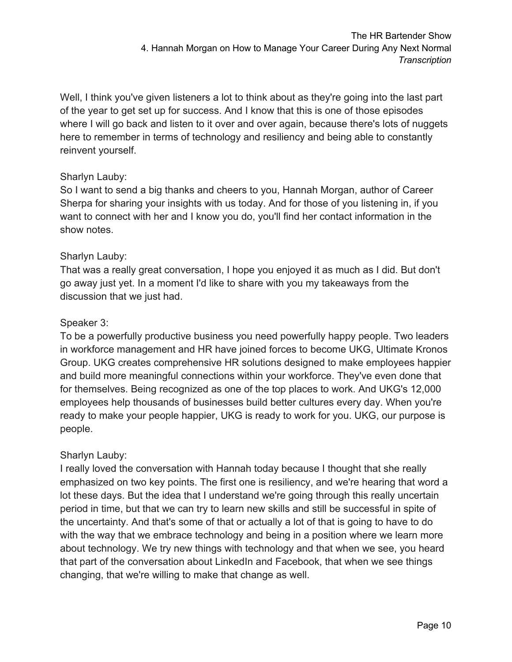Well, I think you've given listeners a lot to think about as they're going into the last part of the year to get set up for success. And I know that this is one of those episodes where I will go back and listen to it over and over again, because there's lots of nuggets here to remember in terms of technology and resiliency and being able to constantly reinvent yourself.

# Sharlyn Lauby:

So I want to send a big thanks and cheers to you, Hannah Morgan, author of Career Sherpa for sharing your insights with us today. And for those of you listening in, if you want to connect with her and I know you do, you'll find her contact information in the show notes.

# Sharlyn Lauby:

That was a really great conversation, I hope you enjoyed it as much as I did. But don't go away just yet. In a moment I'd like to share with you my takeaways from the discussion that we just had.

# Speaker 3:

To be a powerfully productive business you need powerfully happy people. Two leaders in workforce management and HR have joined forces to become UKG, Ultimate Kronos Group. UKG creates comprehensive HR solutions designed to make employees happier and build more meaningful connections within your workforce. They've even done that for themselves. Being recognized as one of the top places to work. And UKG's 12,000 employees help thousands of businesses build better cultures every day. When you're ready to make your people happier, UKG is ready to work for you. UKG, our purpose is people.

# Sharlyn Lauby:

I really loved the conversation with Hannah today because I thought that she really emphasized on two key points. The first one is resiliency, and we're hearing that word a lot these days. But the idea that I understand we're going through this really uncertain period in time, but that we can try to learn new skills and still be successful in spite of the uncertainty. And that's some of that or actually a lot of that is going to have to do with the way that we embrace technology and being in a position where we learn more about technology. We try new things with technology and that when we see, you heard that part of the conversation about LinkedIn and Facebook, that when we see things changing, that we're willing to make that change as well.